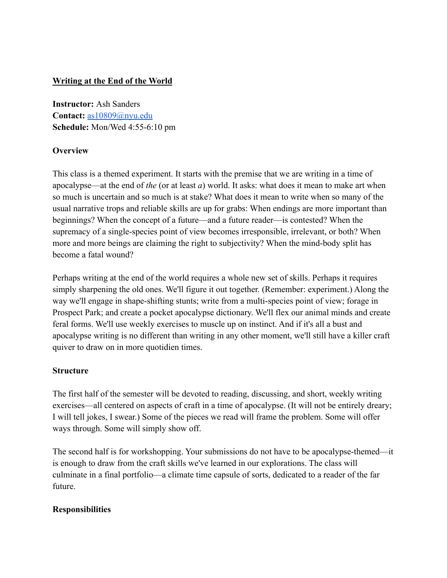# **Writing at the End of the World**

**Instructor:** Ash Sanders **Contact:** [as10809@nyu.edu](mailto:as10809@nyu.edu) **Schedule:** Mon/Wed 4:55-6:10 pm

# **Overview**

This class is a themed experiment. It starts with the premise that we are writing in a time of apocalypse—at the end of *the* (or at least *a*) world. It asks: what does it mean to make art when so much is uncertain and so much is at stake? What does it mean to write when so many of the usual narrative trops and reliable skills are up for grabs: When endings are more important than beginnings? When the concept of a future—and a future reader—is contested? When the supremacy of a single-species point of view becomes irresponsible, irrelevant, or both? When more and more beings are claiming the right to subjectivity? When the mind-body split has become a fatal wound?

Perhaps writing at the end of the world requires a whole new set of skills. Perhaps it requires simply sharpening the old ones. We'll figure it out together. (Remember: experiment.) Along the way we'll engage in shape-shifting stunts; write from a multi-species point of view; forage in Prospect Park; and create a pocket apocalypse dictionary. We'll flex our animal minds and create feral forms. We'll use weekly exercises to muscle up on instinct. And if it's all a bust and apocalypse writing is no different than writing in any other moment, we'll still have a killer craft quiver to draw on in more quotidien times.

## **Structure**

The first half of the semester will be devoted to reading, discussing, and short, weekly writing exercises—all centered on aspects of craft in a time of apocalypse. (It will not be entirely dreary; I will tell jokes, I swear.) Some of the pieces we read will frame the problem. Some will offer ways through. Some will simply show off.

The second half is for workshopping. Your submissions do not have to be apocalypse-themed—it is enough to draw from the craft skills we've learned in our explorations. The class will culminate in a final portfolio—a climate time capsule of sorts, dedicated to a reader of the far future.

## **Responsibilities**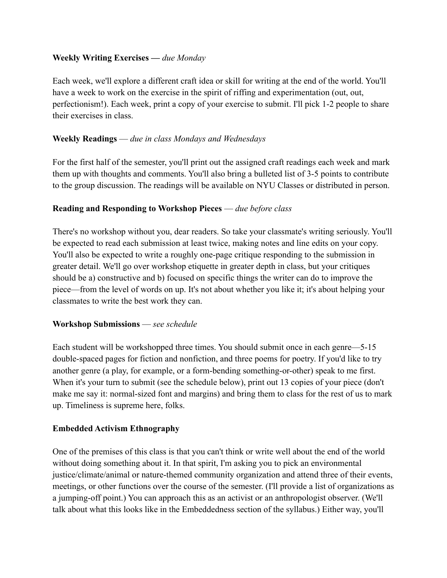# **Weekly Writing Exercises —** *due Monday*

Each week, we'll explore a different craft idea or skill for writing at the end of the world. You'll have a week to work on the exercise in the spirit of riffing and experimentation (out, out, perfectionism!). Each week, print a copy of your exercise to submit. I'll pick 1-2 people to share their exercises in class.

# **Weekly Readings** — *due in class Mondays and Wednesdays*

For the first half of the semester, you'll print out the assigned craft readings each week and mark them up with thoughts and comments. You'll also bring a bulleted list of 3-5 points to contribute to the group discussion. The readings will be available on NYU Classes or distributed in person.

## **Reading and Responding to Workshop Pieces** — *due before class*

There's no workshop without you, dear readers. So take your classmate's writing seriously. You'll be expected to read each submission at least twice, making notes and line edits on your copy. You'll also be expected to write a roughly one-page critique responding to the submission in greater detail. We'll go over workshop etiquette in greater depth in class, but your critiques should be a) constructive and b) focused on specific things the writer can do to improve the piece—from the level of words on up. It's not about whether you like it; it's about helping your classmates to write the best work they can.

## **Workshop Submissions** — *see schedule*

Each student will be workshopped three times. You should submit once in each genre—5-15 double-spaced pages for fiction and nonfiction, and three poems for poetry. If you'd like to try another genre (a play, for example, or a form-bending something-or-other) speak to me first. When it's your turn to submit (see the schedule below), print out 13 copies of your piece (don't make me say it: normal-sized font and margins) and bring them to class for the rest of us to mark up. Timeliness is supreme here, folks.

## **Embedded Activism Ethnography**

One of the premises of this class is that you can't think or write well about the end of the world without doing something about it. In that spirit, I'm asking you to pick an environmental justice/climate/animal or nature-themed community organization and attend three of their events, meetings, or other functions over the course of the semester. (I'll provide a list of organizations as a jumping-off point.) You can approach this as an activist or an anthropologist observer. (We'll talk about what this looks like in the Embeddedness section of the syllabus.) Either way, you'll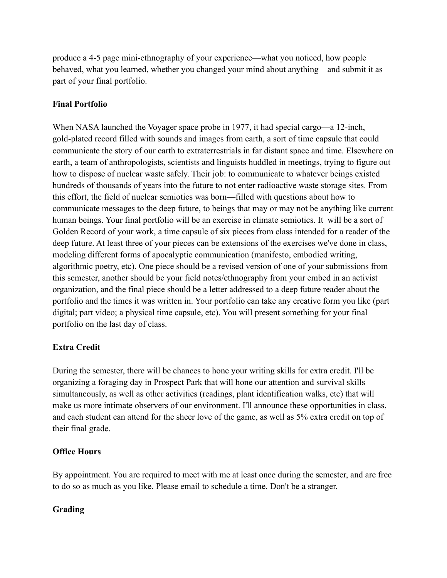produce a 4-5 page mini-ethnography of your experience—what you noticed, how people behaved, what you learned, whether you changed your mind about anything—and submit it as part of your final portfolio.

# **Final Portfolio**

When NASA launched the Voyager space probe in 1977, it had special cargo—a 12-inch, gold-plated record filled with sounds and images from earth, a sort of time capsule that could communicate the story of our earth to extraterrestrials in far distant space and time. Elsewhere on earth, a team of anthropologists, scientists and linguists huddled in meetings, trying to figure out how to dispose of nuclear waste safely. Their job: to communicate to whatever beings existed hundreds of thousands of years into the future to not enter radioactive waste storage sites. From this effort, the field of nuclear semiotics was born—filled with questions about how to communicate messages to the deep future, to beings that may or may not be anything like current human beings. Your final portfolio will be an exercise in climate semiotics. It will be a sort of Golden Record of your work, a time capsule of six pieces from class intended for a reader of the deep future. At least three of your pieces can be extensions of the exercises we've done in class, modeling different forms of apocalyptic communication (manifesto, embodied writing, algorithmic poetry, etc). One piece should be a revised version of one of your submissions from this semester, another should be your field notes/ethnography from your embed in an activist organization, and the final piece should be a letter addressed to a deep future reader about the portfolio and the times it was written in. Your portfolio can take any creative form you like (part digital; part video; a physical time capsule, etc). You will present something for your final portfolio on the last day of class.

# **Extra Credit**

During the semester, there will be chances to hone your writing skills for extra credit. I'll be organizing a foraging day in Prospect Park that will hone our attention and survival skills simultaneously, as well as other activities (readings, plant identification walks, etc) that will make us more intimate observers of our environment. I'll announce these opportunities in class, and each student can attend for the sheer love of the game, as well as 5% extra credit on top of their final grade.

# **Office Hours**

By appointment. You are required to meet with me at least once during the semester, and are free to do so as much as you like. Please email to schedule a time. Don't be a stranger.

# **Grading**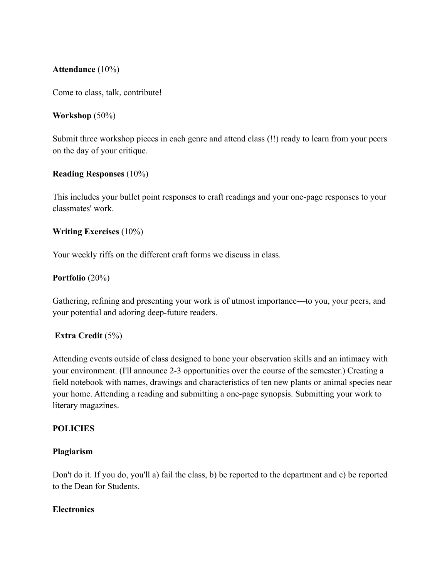### **Attendance** (10%)

Come to class, talk, contribute!

### **Workshop** (50%)

Submit three workshop pieces in each genre and attend class (!!) ready to learn from your peers on the day of your critique.

### **Reading Responses** (10%)

This includes your bullet point responses to craft readings and your one-page responses to your classmates' work.

## **Writing Exercises** (10%)

Your weekly riffs on the different craft forms we discuss in class.

### **Portfolio** (20%)

Gathering, refining and presenting your work is of utmost importance—to you, your peers, and your potential and adoring deep-future readers.

## **Extra Credit** (5%)

Attending events outside of class designed to hone your observation skills and an intimacy with your environment. (I'll announce 2-3 opportunities over the course of the semester.) Creating a field notebook with names, drawings and characteristics of ten new plants or animal species near your home. Attending a reading and submitting a one-page synopsis. Submitting your work to literary magazines.

### **POLICIES**

### **Plagiarism**

Don't do it. If you do, you'll a) fail the class, b) be reported to the department and c) be reported to the Dean for Students.

### **Electronics**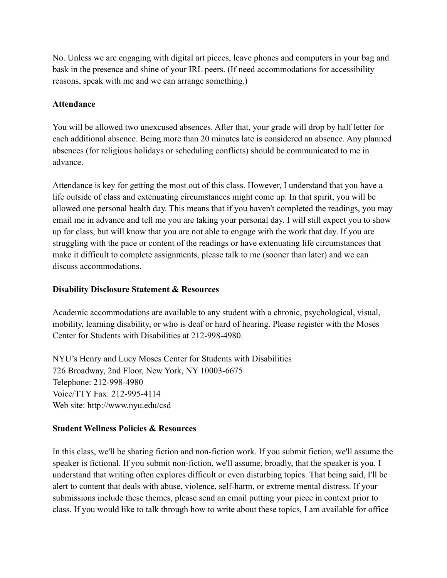No. Unless we are engaging with digital art pieces, leave phones and computers in your bag and bask in the presence and shine of your IRL peers. (If need accommodations for accessibility reasons, speak with me and we can arrange something.)

## **Attendance**

You will be allowed two unexcused absences. After that, your grade will drop by half letter for each additional absence. Being more than 20 minutes late is considered an absence. Any planned absences (for religious holidays or scheduling conflicts) should be communicated to me in advance.

Attendance is key for getting the most out of this class. However, I understand that you have a life outside of class and extenuating circumstances might come up. In that spirit, you will be allowed one personal health day. This means that if you haven't completed the readings, you may email me in advance and tell me you are taking your personal day. I will still expect you to show up for class, but will know that you are not able to engage with the work that day. If you are struggling with the pace or content of the readings or have extenuating life circumstances that make it difficult to complete assignments, please talk to me (sooner than later) and we can discuss accommodations.

# **Disability Disclosure Statement & Resources**

Academic accommodations are available to any student with a chronic, psychological, visual, mobility, learning disability, or who is deaf or hard of hearing. Please register with the Moses Center for Students with Disabilities at 212-998-4980.

NYU's Henry and Lucy Moses Center for Students with Disabilities 726 Broadway, 2nd Floor, New York, NY 10003-6675 Telephone: 212-998-4980 Voice/TTY Fax: 212-995-4114 Web site: http://www.nyu.edu/csd

## **Student Wellness Policies & Resources**

In this class, we'll be sharing fiction and non-fiction work. If you submit fiction, we'll assume the speaker is fictional. If you submit non-fiction, we'll assume, broadly, that the speaker is you. I understand that writing often explores difficult or even disturbing topics. That being said, I'll be alert to content that deals with abuse, violence, self-harm, or extreme mental distress. If your submissions include these themes, please send an email putting your piece in context prior to class. If you would like to talk through how to write about these topics, I am available for office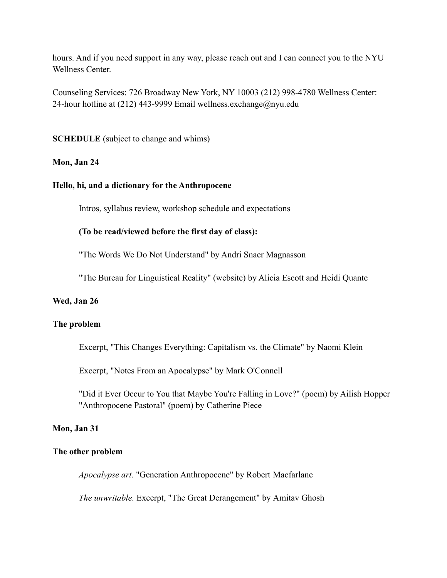hours. And if you need support in any way, please reach out and I can connect you to the NYU Wellness Center.

Counseling Services: 726 Broadway New York, NY 10003 (212) 998-4780 Wellness Center: 24-hour hotline at (212) 443-9999 Email wellness.exchange@nyu.edu

**SCHEDULE** (subject to change and whims)

### **Mon, Jan 24**

#### **Hello, hi, and a dictionary for the Anthropocene**

Intros, syllabus review, workshop schedule and expectations

### **(To be read/viewed before the first day of class):**

"The Words We Do Not Understand" by Andri Snaer Magnasson

"The Bureau for Linguistical Reality" (website) by Alicia Escott and Heidi Quante

### **Wed, Jan 26**

#### **The problem**

Excerpt, "This Changes Everything: Capitalism vs. the Climate" by Naomi Klein

Excerpt, "Notes From an Apocalypse" by Mark O'Connell

"Did it Ever Occur to You that Maybe You're Falling in Love?" (poem) by Ailish Hopper "Anthropocene Pastoral" (poem) by Catherine Piece

#### **Mon, Jan 31**

#### **The other problem**

*Apocalypse art*. "Generation Anthropocene" by Robert Macfarlane

*The unwritable.* Excerpt, "The Great Derangement" by Amitav Ghosh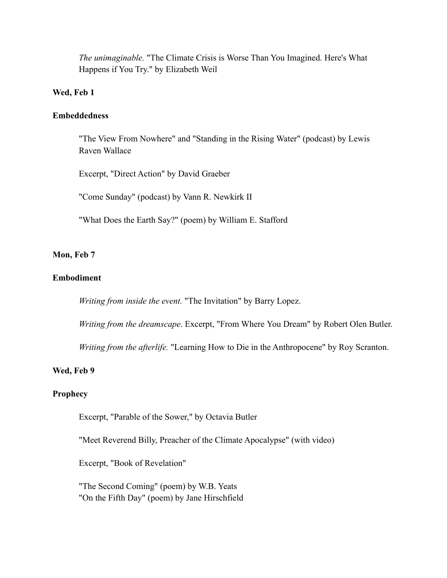*The unimaginable.* "The Climate Crisis is Worse Than You Imagined. Here's What Happens if You Try." by Elizabeth Weil

### **Wed, Feb 1**

#### **Embeddedness**

"The View From Nowhere" and "Standing in the Rising Water" (podcast) by Lewis Raven Wallace

Excerpt, "Direct Action" by David Graeber

"Come Sunday" (podcast) by Vann R. Newkirk II

"What Does the Earth Say?" (poem) by William E. Stafford

#### **Mon, Feb 7**

### **Embodiment**

*Writing from inside the event.* "The Invitation" by Barry Lopez.

*Writing from the dreamscape*. Excerpt, "From Where You Dream" by Robert Olen Butler.

*Writing from the afterlife.* "Learning How to Die in the Anthropocene" by Roy Scranton.

#### **Wed, Feb 9**

### **Prophecy**

Excerpt, "Parable of the Sower," by Octavia Butler

"Meet Reverend Billy, Preacher of the Climate Apocalypse" (with video)

Excerpt, "Book of Revelation"

"The Second Coming" (poem) by W.B. Yeats "On the Fifth Day" (poem) by Jane Hirschfield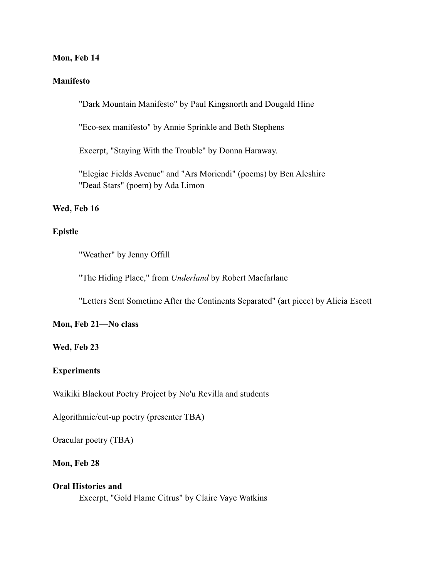#### **Mon, Feb 14**

#### **Manifesto**

"Dark Mountain Manifesto" by Paul Kingsnorth and Dougald Hine

"Eco-sex manifesto" by Annie Sprinkle and Beth Stephens

Excerpt, "Staying With the Trouble" by Donna Haraway.

"Elegiac Fields Avenue" and "Ars Moriendi" (poems) by Ben Aleshire "Dead Stars" (poem) by Ada Limon

#### **Wed, Feb 16**

#### **Epistle**

"Weather" by Jenny Offill

"The Hiding Place," from *Underland* by Robert Macfarlane

"Letters Sent Sometime After the Continents Separated" (art piece) by Alicia Escott

#### **Mon, Feb 21—No class**

#### **Wed, Feb 23**

### **Experiments**

Waikiki Blackout Poetry Project by No'u Revilla and students

Algorithmic/cut-up poetry (presenter TBA)

Oracular poetry (TBA)

## **Mon, Feb 28**

### **Oral Histories and**

Excerpt, "Gold Flame Citrus" by Claire Vaye Watkins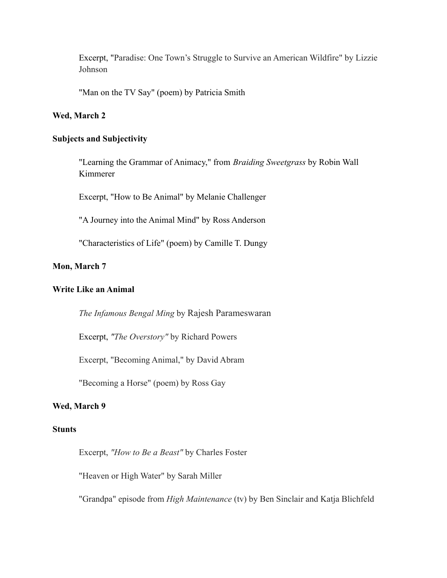Excerpt, "Paradise: One Town's Struggle to Survive an American Wildfire" by Lizzie Johnson

"Man on the TV Say" (poem) by Patricia Smith

#### **Wed, March 2**

#### **Subjects and Subjectivity**

"Learning the Grammar of Animacy," from *Braiding Sweetgrass* by Robin Wall Kimmerer

Excerpt, "How to Be Animal" by Melanie Challenger

"A Journey into the Animal Mind" by Ross Anderson

"Characteristics of Life" (poem) by Camille T. Dungy

# **Mon, March 7**

#### **Write Like an Animal**

*The Infamous Bengal Ming* by Rajesh [Parameswaran](https://granta.com/contributor/rajesh-parameswaran/)

Excerpt, *"The Overstory"* by Richard Powers

Excerpt, "Becoming Animal," by David Abram

"Becoming a Horse" (poem) by Ross Gay

### **Wed, March 9**

### **Stunts**

Excerpt, *"How to Be a Beast"* by Charles Foster

"Heaven or High Water" by Sarah Miller

"Grandpa" episode from *High Maintenance* (tv) by Ben Sinclair and Katja Blichfeld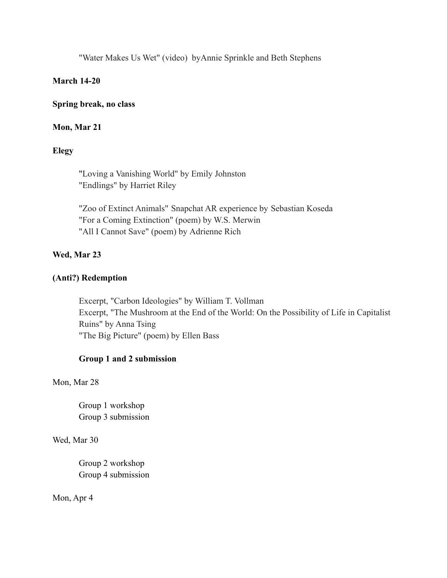"Water Makes Us Wet" (video) byAnnie Sprinkle and Beth Stephens

### **March 14-20**

### **Spring break, no class**

### **Mon, Mar 21**

## **Elegy**

"Loving a Vanishing World" by Emily Johnston "Endlings" by Harriet Riley

"Zoo of Extinct Animals" Snapchat AR experience by Sebastian Koseda "For a Coming Extinction" (poem) by W.S. Merwin "All I Cannot Save" (poem) by Adrienne Rich

## **Wed, Mar 23**

### **(Anti?) Redemption**

Excerpt, "Carbon Ideologies" by William T. Vollman Excerpt, "The Mushroom at the End of the World: On the Possibility of Life in Capitalist Ruins" by Anna Tsing "The Big Picture" (poem) by Ellen Bass

### **Group 1 and 2 submission**

Mon, Mar 28

Group 1 workshop Group 3 submission

Wed, Mar 30

Group 2 workshop Group 4 submission

Mon, Apr 4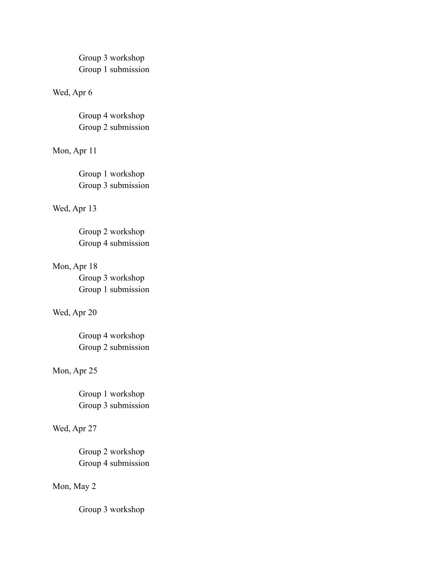Group 3 workshop Group 1 submission

### Wed, Apr 6

Group 4 workshop Group 2 submission

# Mon, Apr 11

Group 1 workshop Group 3 submission

#### Wed, Apr 13

Group 2 workshop Group 4 submission

# Mon, Apr 18

Group 3 workshop Group 1 submission

#### Wed, Apr 20

Group 4 workshop Group 2 submission

# Mon, Apr 25

Group 1 workshop Group 3 submission

## Wed, Apr 27

Group 2 workshop Group 4 submission

# Mon, May 2

Group 3 workshop